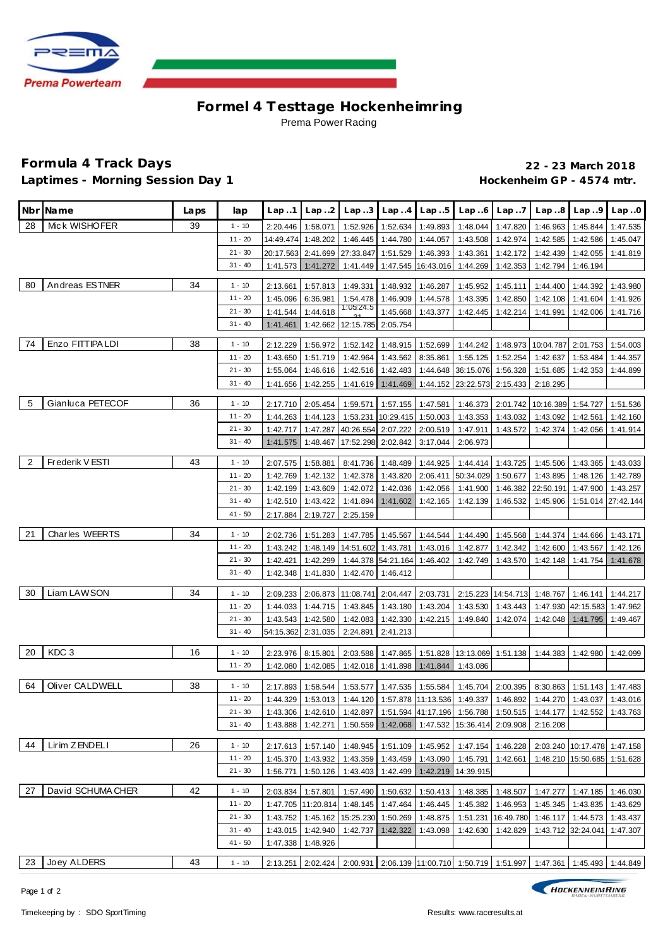

## **Formel 4 Testtage Hockenhe imring** Prema Power Racing

## **Formula 4 Track Days 22 - 23 March 2018** Laptimes - Morning Session Day 1 **And Contain the Control of Hockenheim GP** - 4574 mtr.

|    | Nbr Name          | Laps | lap                    | Lap.1                | Lap.2                |                                                      |                             | $Lap3$ $Lap4$ $Lap5$                                   |                      | $Lap.6$ $Lap.7$ |                                                                                            | $Lap.8$ $Lap.9$             | Lap.0                 |
|----|-------------------|------|------------------------|----------------------|----------------------|------------------------------------------------------|-----------------------------|--------------------------------------------------------|----------------------|-----------------|--------------------------------------------------------------------------------------------|-----------------------------|-----------------------|
| 28 | Mick WISHOFER     | 39   | $1 - 10$               | 2:20.446             | 1:58.071             | 1:52.926                                             |                             | 1:52.634 1:49.893                                      | 1:48.044             | 1:47.820        | 1:46.963                                                                                   | 1:45.844                    | 1:47.535              |
|    |                   |      | $11 - 20$              | 14:49.474            | 1:48.202             | 1:46.445                                             |                             | 1:44.780 1:44.057                                      | 1:43.508             | 1:42.974        | 1:42.585                                                                                   | 1:42.586                    | 1:45.047              |
|    |                   |      | $21 - 30$              | 20:17.563            | 2:41.699             |                                                      | 27:33.847 1:51.529 1:46.393 |                                                        | 1:43.361             | 1:42.172        | 1:42.439                                                                                   | 1:42.055                    | 1:41.819              |
|    |                   |      | $31 - 40$              | 1:41.573             | 1:41.272             |                                                      |                             | 1:41.449 1:47.545 16:43.016                            | 1:44.269             | 1:42.353        | 1:42.794                                                                                   | 1:46.194                    |                       |
|    |                   |      |                        |                      |                      |                                                      |                             |                                                        |                      |                 |                                                                                            |                             |                       |
| 80 | Andreas ESTNER    | 34   | $1 - 10$               | 2:13.661             | 1:57.813             |                                                      |                             | 1:49.331  1:48.932  1:46.287                           | 1:45.952             | 1:45.111        | 1:44.400                                                                                   | 1:44.392                    | 1:43.980              |
|    |                   |      | $11 - 20$<br>$21 - 30$ | 1:45.096             | 6:36.981             | 1:05.24.5                                            |                             | 1:54.478   1:46.909   1:44.578  <br>1:45.668 1:43.377  | 1:43.395             | 1:42.850        | 1:42.108                                                                                   | 1:41.604                    | 1:41.926              |
|    |                   |      | $31 - 40$              | 1:41.544<br>1:41.461 | 1:44.618<br>1:42.662 | 12:15.785 2:05.754                                   |                             |                                                        | 1:42.445             | 1:42.214        | 1:41.991                                                                                   | 1:42.006                    | 1:41.716              |
|    |                   |      |                        |                      |                      |                                                      |                             |                                                        |                      |                 |                                                                                            |                             |                       |
| 74 | Enzo FITTIPA LDI  | 38   | $1 - 10$               | 2:12.229             | 1:56.972             |                                                      |                             | 1:52.142 1:48.915 1:52.699                             |                      |                 | 1:44.242   1:48.973   10:04.787   2:01.753                                                 |                             | 1:54.003              |
|    |                   |      | $11 - 20$              | 1:43.650             | 1:51.719             | 1:42.964                                             | 1:43.562                    | 8:35.861                                               | 1:55.125             | 1:52.254        | 1:42.637                                                                                   | 1:53.484                    | 1:44.357              |
|    |                   |      | $21 - 30$              | 1:55.064             | 1:46.616             | 1:42.516                                             | 1:42.483                    | 1:44.648                                               | 36:15.076 1:56.328   |                 | 1:51.685                                                                                   | 1:42.353                    | 1:44.899              |
|    |                   |      | $31 - 40$              | 1:41.656             | 1:42.255             | 1:41.619                                             | 1:41.469                    | 1:44.152                                               | 23:22.573 2:15.433   |                 | 2:18.295                                                                                   |                             |                       |
| 5  | Gianluca PETECOF  | 36   | $1 - 10$               | 2:17.710             | 2:05.454             | 1:59.571                                             |                             | 1:57.155 1:47.581                                      |                      |                 | 1:46.373 2:01.742 10:16.389                                                                | 1:54.727                    | 1:51.536              |
|    |                   |      | $11 - 20$              | 1:44.263             | 1:44.123             |                                                      |                             | 1:53.231 10:29.415 1:50.003                            | 1:43.353             | 1:43.032        | 1:43.092                                                                                   | 1:42.561                    | 1:42.160              |
|    |                   |      | $21 - 30$              | 1:42.717             | 1:47.287             |                                                      |                             | 40:26.554 2:07.222 2:00.519                            | 1:47.911             | 1:43.572        | 1:42.374                                                                                   | 1:42.056                    | 1:41.914              |
|    |                   |      | $31 - 40$              | 1:41.575             | 1:48.467             |                                                      |                             | 17:52.298 2:02.842 3:17.044                            | 2:06.973             |                 |                                                                                            |                             |                       |
|    |                   |      |                        |                      |                      |                                                      |                             |                                                        |                      |                 |                                                                                            |                             |                       |
| 2  | Frederik V ESTI   | 43   | $1 - 10$               | 2:07.575             | 1:58.881             |                                                      |                             | 8:41.736 1:48.489 1:44.925                             | 1:44.414             |                 | 1:43.725 1:45.506                                                                          | 1:43.365                    | 1:43.033              |
|    |                   |      | $11 - 20$<br>$21 - 30$ | 1:42.769             | 1:42.132             | 1:42.378                                             | 1:43.820 2:06.411           |                                                        | 50:34.029            | 1:50.677        | 1:43.895<br>1:46.382 22:50.191                                                             | 1:48.126                    | 1:42.789              |
|    |                   |      | $31 - 40$              | 1:42.199<br>1:42.510 | 1:43.609<br>1:43.422 | 1:42.072<br>1:41.894                                 |                             | 1:42.036 1:42.056<br>1:41.602 1:42.165                 | 1:41.900<br>1:42.139 | 1:46.532        | 1:45.906                                                                                   | 1:47.900<br>1:51.014        | 1:43.257<br>27:42.144 |
|    |                   |      | $41 - 50$              | 2:17.884             | 2:19.727             | 2:25.159                                             |                             |                                                        |                      |                 |                                                                                            |                             |                       |
|    |                   |      |                        |                      |                      |                                                      |                             |                                                        |                      |                 |                                                                                            |                             |                       |
| 21 | Charles WEERTS    | 34   | $1 - 10$               | 2:02.736             | 1:51.283             |                                                      |                             | 1:47.785 1:45.567 1:44.544                             | 1:44.490             | 1:45.568        | 1:44.374                                                                                   | 1:44.666                    | 1:43.171              |
|    |                   |      | $11 - 20$              | 1:43.242             |                      | 1:48.149   14:51.602   1:43.781   1:43.016           |                             |                                                        | 1:42.877             | 1:42.342        | 1:42.600                                                                                   | 1:43.567                    | 1:42.126              |
|    |                   |      | $21 - 30$              | 1:42.421             | 1:42.299             |                                                      | 1:44.378 54:21.164 1:46.402 |                                                        | 1:42.749             | 1:43.570        | 1:42.148                                                                                   | 1:41.754                    | 1:41.678              |
|    |                   |      | $31 - 40$              | 1:42.348             | 1:41.830             |                                                      | 1:42.470 1:46.412           |                                                        |                      |                 |                                                                                            |                             |                       |
| 30 | Liam LAWSON       | 34   | $1 - 10$               | 2:09.233             | 2:06.873             |                                                      | 11:08.741 2:04.447          | 2:03.731                                               |                      |                 | 2:15.223 14:54.713 1:48.767                                                                | 1:46.141                    | 1:44.217              |
|    |                   |      | $11 - 20$              | 1:44.033             | 1:44.715             | 1:43.845                                             |                             | 1:43.180 1:43.204                                      | 1:43.530             | 1:43.443        |                                                                                            | 1:47.930 42:15.583          | 1:47.962              |
|    |                   |      | $21 - 30$              | 1:43.543             | 1:42.580             | 1:42.083                                             |                             | 1:42.330 1:42.215                                      | 1:49.840             | 1:42.074        | 1:42.048                                                                                   | 1:41.795                    | 1:49.467              |
|    |                   |      | $31 - 40$              |                      | 54:15.362 2:31.035   | 2:24.891                                             | 2:41.213                    |                                                        |                      |                 |                                                                                            |                             |                       |
| 20 | KDC 3             |      |                        |                      |                      |                                                      |                             |                                                        |                      |                 |                                                                                            |                             |                       |
|    |                   | 16   | $1 - 10$<br>11 - 20    | 2:23.976             | 8:15.801             |                                                      |                             |                                                        |                      |                 | 2:03.588   1:47.865   1:51.828   13:13.069   1:51.138   1:44.383                           | 1:42.980                    | 1:42.099              |
|    |                   |      |                        | 1:42.080             | 1:42.085             |                                                      |                             | 1:42.018 1:41.898 1:41.844                             | 1:43.086             |                 |                                                                                            |                             |                       |
| 64 | Oliver CALDWELL   | 38   | $1 - 10$               | 2:17.893             | 1:58.544             |                                                      |                             |                                                        |                      |                 | 1:53.577 1:47.535 1:55.584 1:45.704 2:00.395 8:30.863 1:51.143 1:47.483                    |                             |                       |
|    |                   |      | $11 - 20$              |                      |                      |                                                      |                             |                                                        |                      |                 | 1:44.329 1:53.013 1:44.120 1:57.878 11:13.536 1:49.337 1:46.892 1:44.270 1:43.037 1:43.016 |                             |                       |
|    |                   |      | $21 - 30$              | 1:43.306             |                      |                                                      |                             |                                                        |                      |                 | 1:42.610 1:42.897 1:51.594 41:17.196 1:56.788 1:50.515 1:44.177 1:42.552                   |                             | 1:43.763              |
|    |                   |      | $31 - 40$              | 1:43.888             | 1:42.271             |                                                      |                             | 1:50.559 1:42.068 1:47.532 15:36.414 2:09.908 2:16.208 |                      |                 |                                                                                            |                             |                       |
| 44 | Lirim ZENDELI     | 26   | $1 - 10$               |                      |                      | 2:17.613   1:57.140   1:48.945   1:51.109   1:45.952 |                             |                                                        | 1:47.154             | 1:46.228        |                                                                                            | 2:03.240 10:17.478 1:47.158 |                       |
|    |                   |      | $11 - 20$              | 1:45.370             | 1:43.932             |                                                      |                             | 1:43.359 1:43.459 1:43.090                             | 1:45.791             | 1:42.661        |                                                                                            | 1:48.210 15:50.685          | 1:51.628              |
|    |                   |      | $21 - 30$              | 1:56.771             | 1:50.126             |                                                      |                             | 1:43.403 1:42.499 1:42.219 14:39.915                   |                      |                 |                                                                                            |                             |                       |
|    |                   |      |                        |                      |                      |                                                      |                             |                                                        |                      |                 |                                                                                            |                             |                       |
| 27 | David SCHUMA CHER | 42   | $1 - 10$               | 2:03.834             | 1:57.801             |                                                      |                             | 1:57.490 1:50.632 1:50.413                             | 1:48.385             | 1:48.507        |                                                                                            | 1:47.277 1:47.185           | 1:46.030              |
|    |                   |      | $11 - 20$              |                      | 1:47.705 11:20.814   |                                                      |                             | 1:48.145 1:47.464 1:46.445                             | 1:45.382             | 1:46.953        |                                                                                            | 1:45.345 1:43.835           | 1:43.629              |
|    |                   |      | $21 - 30$              | 1:43.752             |                      | 1:45.162   15:25.230   1:50.269   1:48.875           |                             |                                                        |                      |                 | 1:51.231   16:49.780   1:46.117   1:44.573                                                 |                             | 1:43.437              |
|    |                   |      | $31 - 40$              | 1:43.015             | 1:42.940             |                                                      | 1:42.737 1:42.322 1:43.098  |                                                        | 1:42.630             |                 | 1:42.829 1:43.712 32:24.041                                                                |                             | 1:47.307              |
|    |                   |      | $41 - 50$              | 1:47.338             | 1:48.926             |                                                      |                             |                                                        |                      |                 |                                                                                            |                             |                       |
| 23 | Joey ALDERS       | 43   | $1 - 10$               | 2:13.251             | 2:02.424             |                                                      |                             |                                                        |                      |                 | 2:00.931 2:06.139 11:00.710 1:50.719 1:51.997 1:47.361 1:45.493 1:44.849                   |                             |                       |